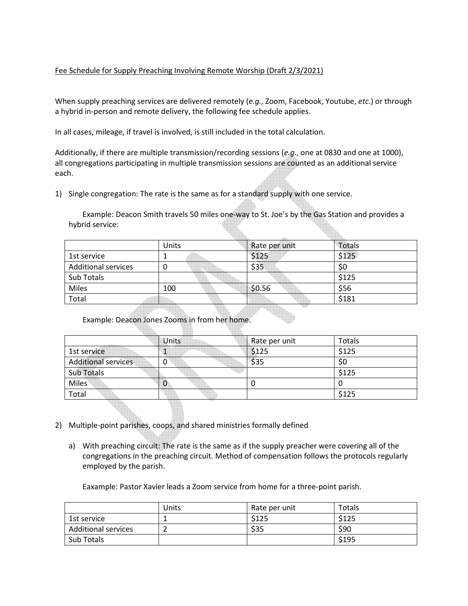## Fee Schedule for Supply Preaching Involving Remote Worship (Draft 2/3/2021)

When supply preaching services are delivered remotely (*e.g.*, Zoom, Facebook, Youtube, *etc*.) or through a hybrid in-person and remote delivery, the following fee schedule applies.

In all cases, mileage, if travel is involved, is still included in the total calculation.

Additionally, if there are multiple transmission/recording sessions (*e.g*., one at 0830 and one at 1000), all congregations participating in multiple transmission sessions are counted as an additional service each.

1) Single congregation: The rate is the same as for a standard supply with one service.

Example: Deacon Smith travels 50 miles one-way to St. Joe's by the Gas Station and provides a hybrid service:

|                            | Units | Rate per unit | <b>Totals</b> |
|----------------------------|-------|---------------|---------------|
| 1st service                |       | \$125         | \$125         |
| <b>Additional services</b> |       | \$35          | \$0           |
| Sub Totals                 |       |               | \$125         |
| Miles                      | 100   | \$0.56        | \$56          |
| Total                      |       |               | \$181         |

Example: Deacon Jones Zooms in from her home.

ere en

|                            | Units | Rate per unit | Totals |
|----------------------------|-------|---------------|--------|
| 1st service                |       | \$125         | \$125  |
| <b>Additional services</b> | 0     | \$35          | S0     |
| Sub Totals                 |       |               | \$125  |
| <b>Miles</b>               |       | U             |        |
| Total                      |       |               | \$125  |

- 2) Multiple-point parishes, coops, and shared ministries formally defined
	- a) With preaching circuit: The rate is the same as if the supply preacher were covering all of the congregations in the preaching circuit. Method of compensation follows the protocols regularly employed by the parish.

Eaxample: Pastor Xavier leads a Zoom service from home for a three-point parish.

|                            | Units | Rate per unit | Totals |
|----------------------------|-------|---------------|--------|
| 1st service                |       | \$125         | \$125  |
| <b>Additional services</b> |       | \$35          | \$90   |
| Sub Totals                 |       |               | \$195  |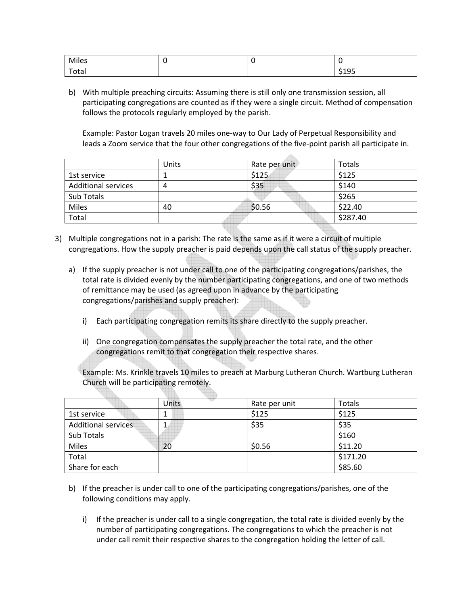| Miles |  |                            |
|-------|--|----------------------------|
| Total |  | 40 <sub>0</sub><br>∽<br>∸∽ |

b) With multiple preaching circuits: Assuming there is still only one transmission session, all participating congregations are counted as if they were a single circuit. Method of compensation follows the protocols regularly employed by the parish.

Example: Pastor Logan travels 20 miles one-way to Our Lady of Perpetual Responsibility and leads a Zoom service that the four other congregations of the five-point parish all participate in.

|                            | Units | Rate per unit | <b>Totals</b> |
|----------------------------|-------|---------------|---------------|
| 1st service                |       | \$125         | \$125         |
| <b>Additional services</b> | 4     | \$35          | \$140         |
| Sub Totals                 |       |               | \$265         |
| <b>Miles</b>               | 40    | \$0.56        | \$22.40       |
| Total                      |       |               | \$287.40      |

- 3) Multiple congregations not in a parish: The rate is the same as if it were a circuit of multiple congregations. How the supply preacher is paid depends upon the call status of the supply preacher.
	- a) If the supply preacher is not under call to one of the participating congregations/parishes, the total rate is divided evenly by the number participating congregations, and one of two methods of remittance may be used (as agreed upon in advance by the participating congregations/parishes and supply preacher):
		- i) Each participating congregation remits its share directly to the supply preacher.
		- ii) One congregation compensates the supply preacher the total rate, and the other congregations remit to that congregation their respective shares.

HE.

Example: Ms. Krinkle travels 10 miles to preach at Marburg Lutheran Church. Wartburg Lutheran Church will be participating remotely.

|                            | Units | Rate per unit | Totals   |
|----------------------------|-------|---------------|----------|
| 1st service                |       | \$125         | \$125    |
| <b>Additional services</b> |       | \$35          | \$35     |
| Sub Totals                 |       |               | \$160    |
| <b>Miles</b>               | 20    | \$0.56        | \$11.20  |
| Total                      |       |               | \$171.20 |
| Share for each             |       |               | \$85.60  |

- b) If the preacher is under call to one of the participating congregations/parishes, one of the following conditions may apply.
	- i) If the preacher is under call to a single congregation, the total rate is divided evenly by the number of participating congregations. The congregations to which the preacher is not under call remit their respective shares to the congregation holding the letter of call.